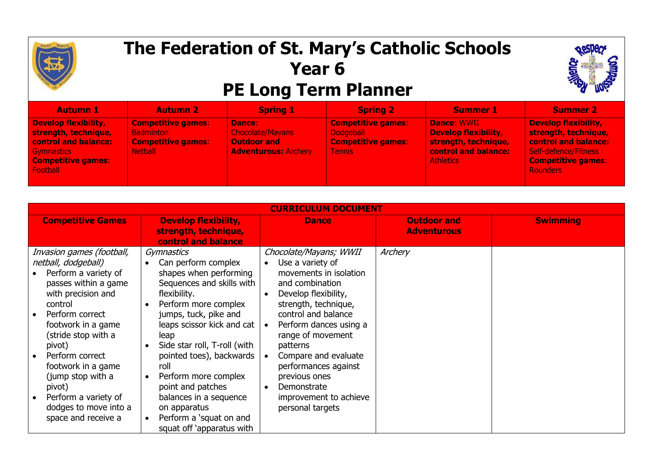

## **The Federation of St. Mary's Catholic Schools Year 6 PE Long Term Planner**



| <b>Autumn 1</b>                                                                                                                           | <b>Autumn 2</b>                                                                              | <b>Spring 1</b>                                                                        | <b>Spring 2</b>                                                                             | <b>Summer 1</b>                                                                                                              | <b>Summer 2</b>                                                                                                                                     |
|-------------------------------------------------------------------------------------------------------------------------------------------|----------------------------------------------------------------------------------------------|----------------------------------------------------------------------------------------|---------------------------------------------------------------------------------------------|------------------------------------------------------------------------------------------------------------------------------|-----------------------------------------------------------------------------------------------------------------------------------------------------|
| <b>Develop flexibility,</b><br>strength, technique,<br><b>control and balance:</b><br>Gymnastics<br><b>Competitive games:</b><br>Football | <b>Competitive games:</b><br><b>Badminton</b><br><b>Competitive games:</b><br><b>Netball</b> | Dance:<br><b>Chocolate/Mayans</b><br><b>Outdoor and</b><br><b>Adventurous: Archery</b> | <b>Competitive games:</b><br><b>Dodgeball</b><br><b>Competitive games:</b><br><b>Tennis</b> | <b>Dance: WWII</b><br><b>Develop flexibility,</b><br>strength, technique,<br><b>control and balance:</b><br><b>Athletics</b> | Develop flexibility,<br>strength, technique,<br>control and balance:<br><b>Self-defence/Fitness</b><br><b>Competitive games:</b><br><b>Rounders</b> |

| <b>CURRICULUM DOCUMENT</b>                                                                                                                                                                                                                                                                                                                                  |                                                                                                                                                                                                                                                                                                                                                                                       |                                                                                                                                                                                                                                                                                                                                                         |                                          |                 |  |  |
|-------------------------------------------------------------------------------------------------------------------------------------------------------------------------------------------------------------------------------------------------------------------------------------------------------------------------------------------------------------|---------------------------------------------------------------------------------------------------------------------------------------------------------------------------------------------------------------------------------------------------------------------------------------------------------------------------------------------------------------------------------------|---------------------------------------------------------------------------------------------------------------------------------------------------------------------------------------------------------------------------------------------------------------------------------------------------------------------------------------------------------|------------------------------------------|-----------------|--|--|
| <b>Competitive Games</b>                                                                                                                                                                                                                                                                                                                                    | <b>Develop flexibility,</b><br>strength, technique,<br>control and balance                                                                                                                                                                                                                                                                                                            | <b>Dance</b>                                                                                                                                                                                                                                                                                                                                            | <b>Outdoor and</b><br><b>Adventurous</b> | <b>Swimming</b> |  |  |
| Invasion games (football,<br>netball, dodgeball)<br>Perform a variety of<br>passes within a game<br>with precision and<br>control<br>Perform correct<br>footwork in a game<br>(stride stop with a<br>pivot)<br>Perform correct<br>footwork in a game<br>(jump stop with a<br>pivot)<br>Perform a variety of<br>dodges to move into a<br>space and receive a | Gymnastics<br>Can perform complex<br>shapes when performing<br>Sequences and skills with<br>flexibility.<br>Perform more complex<br>jumps, tuck, pike and<br>leaps scissor kick and cat<br>leap<br>Side star roll, T-roll (with<br>pointed toes), backwards<br>roll<br>Perform more complex<br>point and patches<br>balances in a sequence<br>on apparatus<br>Perform a 'squat on and | Chocolate/Mayans; WWII<br>Use a variety of<br>movements in isolation<br>and combination<br>Develop flexibility,<br>strength, technique,<br>control and balance<br>Perform dances using a<br>range of movement<br>patterns<br>Compare and evaluate<br>performances against<br>previous ones<br>Demonstrate<br>improvement to achieve<br>personal targets | Archery                                  |                 |  |  |
|                                                                                                                                                                                                                                                                                                                                                             | squat off 'apparatus with                                                                                                                                                                                                                                                                                                                                                             |                                                                                                                                                                                                                                                                                                                                                         |                                          |                 |  |  |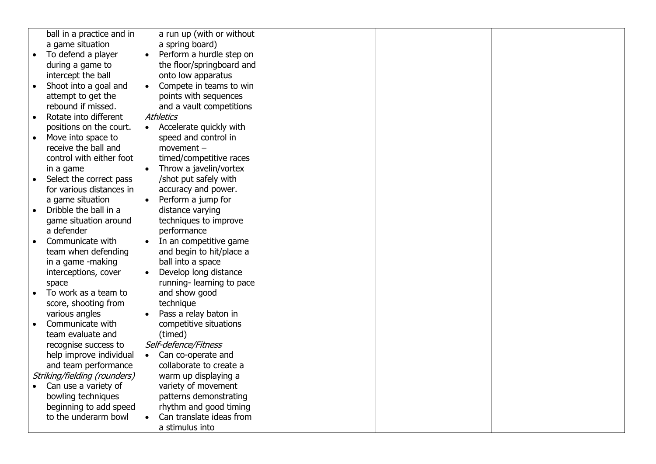|           | ball in a practice and in    |           | a run up (with or without |  |  |
|-----------|------------------------------|-----------|---------------------------|--|--|
|           | a game situation             |           | a spring board)           |  |  |
|           | To defend a player           |           | Perform a hurdle step on  |  |  |
|           | during a game to             |           | the floor/springboard and |  |  |
|           | intercept the ball           |           | onto low apparatus        |  |  |
|           | Shoot into a goal and        |           | Compete in teams to win   |  |  |
|           | attempt to get the           |           | points with sequences     |  |  |
|           | rebound if missed.           |           | and a vault competitions  |  |  |
| $\bullet$ | Rotate into different        |           | Athletics                 |  |  |
|           | positions on the court.      | $\bullet$ | Accelerate quickly with   |  |  |
| $\bullet$ | Move into space to           |           | speed and control in      |  |  |
|           | receive the ball and         |           | $momentum -$              |  |  |
|           | control with either foot     |           | timed/competitive races   |  |  |
|           | in a game                    |           | Throw a javelin/vortex    |  |  |
|           | Select the correct pass      |           | /shot put safely with     |  |  |
|           | for various distances in     |           | accuracy and power.       |  |  |
|           | a game situation             |           | Perform a jump for        |  |  |
| $\bullet$ | Dribble the ball in a        |           | distance varying          |  |  |
|           | game situation around        |           | techniques to improve     |  |  |
|           | a defender                   |           | performance               |  |  |
|           | Communicate with             |           | In an competitive game    |  |  |
|           | team when defending          |           | and begin to hit/place a  |  |  |
|           | in a game -making            |           | ball into a space         |  |  |
|           | interceptions, cover         |           | Develop long distance     |  |  |
|           | space                        |           | running-learning to pace  |  |  |
|           | To work as a team to         |           | and show good             |  |  |
|           | score, shooting from         |           | technique                 |  |  |
|           | various angles               |           | Pass a relay baton in     |  |  |
|           | Communicate with             |           | competitive situations    |  |  |
|           | team evaluate and            |           | (timed)                   |  |  |
|           | recognise success to         |           | Self-defence/Fitness      |  |  |
|           | help improve individual      | $\bullet$ | Can co-operate and        |  |  |
|           | and team performance         |           | collaborate to create a   |  |  |
|           | Striking/fielding (rounders) |           | warm up displaying a      |  |  |
|           | Can use a variety of         |           | variety of movement       |  |  |
|           | bowling techniques           |           | patterns demonstrating    |  |  |
|           | beginning to add speed       |           | rhythm and good timing    |  |  |
|           | to the underarm bowl         |           | Can translate ideas from  |  |  |
|           |                              |           | a stimulus into           |  |  |